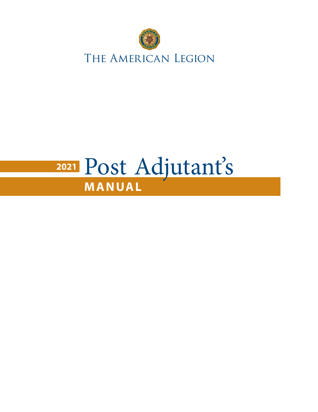

## **MANUAL <sup>2021</sup>** Post Adjutant's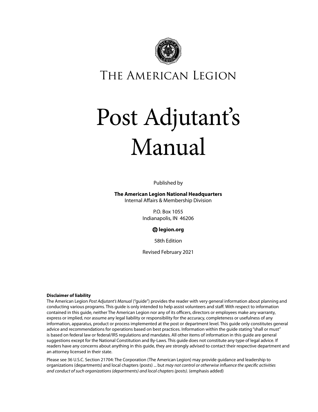

The American Legion

# Post Adjutant's Manual

Published by

**The American Legion National Headquarters**

Internal Affairs & Membership Division

P.O. Box 1055 Indianapolis, IN 46206

**legion.org**

58th Edition

Revised February 2021

#### **Disclaimer of liability**

The American Legion *Post Adjutant's Manual* ("guide") provides the reader with very general information about planning and conducting various programs. This guide is only intended to help assist volunteers and staff. With respect to information contained in this guide, neither The American Legion nor any of its officers, directors or employees make any warranty, express or implied, nor assume any legal liability or responsibility for the accuracy, completeness or usefulness of any information, apparatus, product or process implemented at the post or department level. This guide only constitutes general advice and recommendations for operations based on best practices. Information within the guide stating "shall or must" is based on federal law or federal/IRS regulations and mandates. All other items of information in this guide are general suggestions except for the National Constitution and By-Laws. This guide does not constitute any type of legal advice. If readers have any concerns about anything in this guide, they are strongly advised to contact their respective department and an attorney licensed in their state.

Please see 36 U.S.C. Section 21704: The Corporation (The American Legion) may provide guidance and leadership to organizations (departments) and local chapters (posts) ... but *may not control or otherwise influence the specific activities and conduct of such organizations (departments) and local chapters (posts)*. (emphasis added)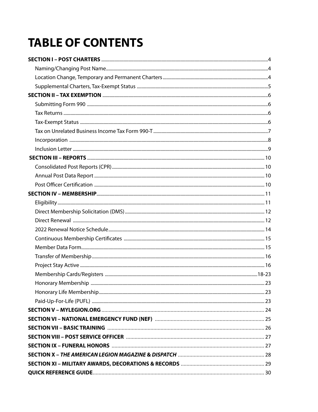### **TABLE OF CONTENTS**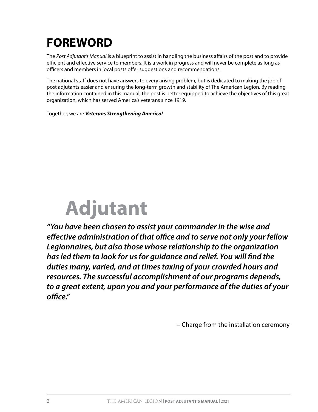### **FOREWORD**

The *Post Adjutant's Manual* is a blueprint to assist in handling the business affairs of the post and to provide efficient and effective service to members. It is a work in progress and will never be complete as long as officers and members in local posts offer suggestions and recommendations.

The national staff does not have answers to every arising problem, but is dedicated to making the job of post adjutants easier and ensuring the long-term growth and stability of The American Legion. By reading the information contained in this manual, the post is better equipped to achieve the objectives of this great organization, which has served America's veterans since 1919.

Together, we are *Veterans Strengthening America!*

# **Adjutant**

*"You have been chosen to assist your commander in the wise and effective administration of that office and to serve not only your fellow Legionnaires, but also those whose relationship to the organization has led them to look for us for guidance and relief. You will find the duties many, varied, and at times taxing of your crowded hours and resources. The successful accomplishment of our programs depends, to a great extent, upon you and your performance of the duties of your office."* 

– Charge from the installation ceremony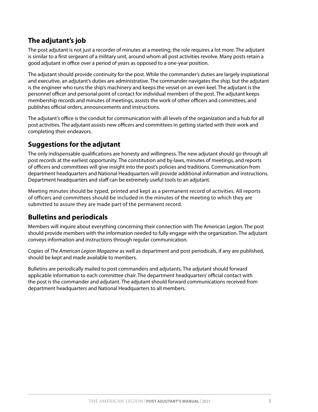#### **The adjutant's job**

The post adjutant is not just a recorder of minutes at a meeting; the role requires a lot more. The adjutant is similar to a first sergeant of a military unit, around whom all post activities revolve. Many posts retain a good adjutant in office over a period of years as opposed to a one-year position.

The adjutant should provide continuity for the post. While the commander's duties are largely inspirational and executive, an adjutant's duties are administrative. The commander navigates the ship, but the adjutant is the engineer who runs the ship's machinery and keeps the vessel on an even keel. The adjutant is the personnel officer and personal point of contact for individual members of the post. The adjutant keeps membership records and minutes of meetings, assists the work of other officers and committees, and publishes official orders, announcements and instructions.

The adjutant's office is the conduit for communication with all levels of the organization and a hub for all post activities. The adjutant assists new officers and committees in getting started with their work and completing their endeavors.

#### **Suggestions for the adjutant**

The only indispensable qualifications are honesty and willingness. The new adjutant should go through all post records at the earliest opportunity. The constitution and by-laws, minutes of meetings, and reports of officers and committees will give insight into the post's policies and traditions. Communication from department headquarters and National Headquarters will provide additional information and instructions. Department headquarters and staff can be extremely useful tools to an adjutant.

Meeting minutes should be typed, printed and kept as a permanent record of activities. All reports of officers and committees should be included in the minutes of the meeting to which they are submitted to assure they are made part of the permanent record.

#### **Bulletins and periodicals**

Members will inquire about everything concerning their connection with The American Legion. The post should provide members with the information needed to fully engage with the organization. The adjutant conveys information and instructions through regular communication.

Copies of *The American Legion Magazine* as well as department and post periodicals, if any are published, should be kept and made available to members.

Bulletins are periodically mailed to post commanders and adjutants. The adjutant should forward applicable information to each committee chair. The department headquarters' official contact with the post is the commander and adjutant. The adjutant should forward communications received from department headquarters and National Headquarters to all members.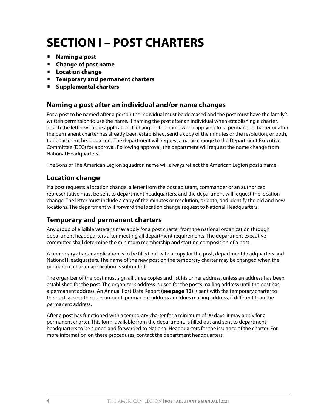### **SECTION I – POST CHARTERS**

- **Naming a post**
- **Change of post name**
- **Location change**
- **Temporary and permanent charters**
- **Supplemental charters**

#### **Naming a post after an individual and/or name changes**

For a post to be named after a person the individual must be deceased and the post must have the family's written permission to use the name. If naming the post after an individual when establishing a charter, attach the letter with the application. If changing the name when applying for a permanent charter or after the permanent charter has already been established, send a copy of the minutes or the resolution, or both, to department headquarters. The department will request a name change to the Department Executive Committee (DEC) for approval. Following approval, the department will request the name change from National Headquarters.

The Sons of The American Legion squadron name will always reflect the American Legion post's name.

#### **Location change**

If a post requests a location change, a letter from the post adjutant, commander or an authorized representative must be sent to department headquarters, and the department will request the location change. The letter must include a copy of the minutes or resolution, or both, and identify the old and new locations. The department will forward the location change request to National Headquarters.

#### **Temporary and permanent charters**

Any group of eligible veterans may apply for a post charter from the national organization through department headquarters after meeting all department requirements. The department executive committee shall determine the minimum membership and starting composition of a post.

A temporary charter application is to be filled out with a copy for the post, department headquarters and National Headquarters. The name of the new post on the temporary charter may be changed when the permanent charter application is submitted.

The organizer of the post must sign all three copies and list his or her address, unless an address has been established for the post. The organizer's address is used for the post's mailing address until the post has a permanent address. An Annual Post Data Report **(see page 10)** is sent with the temporary charter to the post, asking the dues amount, permanent address and dues mailing address, if different than the permanent address.

After a post has functioned with a temporary charter for a minimum of 90 days, it may apply for a permanent charter. This form, available from the department, is filled out and sent to department headquarters to be signed and forwarded to National Headquarters for the issuance of the charter. For more information on these procedures, contact the department headquarters.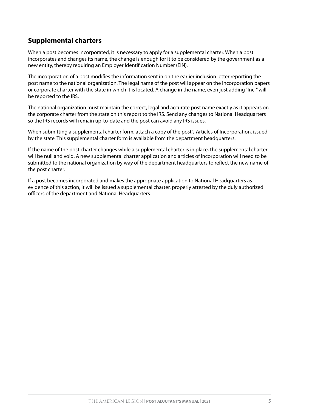#### **Supplemental charters**

When a post becomes incorporated, it is necessary to apply for a supplemental charter. When a post incorporates and changes its name, the change is enough for it to be considered by the government as a new entity, thereby requiring an Employer Identification Number (EIN).

The incorporation of a post modifies the information sent in on the earlier inclusion letter reporting the post name to the national organization. The legal name of the post will appear on the incorporation papers or corporate charter with the state in which it is located. A change in the name, even just adding "Inc.," will be reported to the IRS.

The national organization must maintain the correct, legal and accurate post name exactly as it appears on the corporate charter from the state on this report to the IRS. Send any changes to National Headquarters so the IRS records will remain up-to-date and the post can avoid any IRS issues.

When submitting a supplemental charter form, attach a copy of the post's Articles of Incorporation, issued by the state. This supplemental charter form is available from the department headquarters.

If the name of the post charter changes while a supplemental charter is in place, the supplemental charter will be null and void. A new supplemental charter application and articles of incorporation will need to be submitted to the national organization by way of the department headquarters to reflect the new name of the post charter.

If a post becomes incorporated and makes the appropriate application to National Headquarters as evidence of this action, it will be issued a supplemental charter, properly attested by the duly authorized officers of the department and National Headquarters.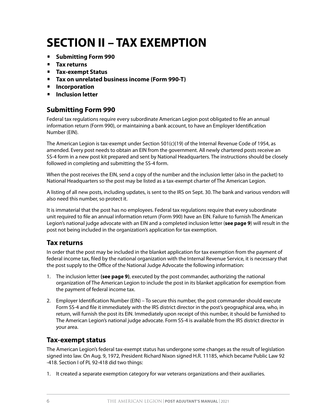### **SECTION II – TAX EXEMPTION**

- **Submitting Form 990**
- **Tax returns**
- **Tax-exempt Status**
- **Tax on unrelated business income (Form 990-T)**
- **Incorporation**
- **Inclusion letter**

#### **Submitting Form 990**

Federal tax regulations require every subordinate American Legion post obligated to file an annual information return (Form 990), or maintaining a bank account, to have an Employer Identification Number (EIN).

The American Legion is tax-exempt under Section 501(c)(19) of the Internal Revenue Code of 1954, as amended. Every post needs to obtain an EIN from the government. All newly chartered posts receive an SS-4 form in a new post kit prepared and sent by National Headquarters. The instructions should be closely followed in completing and submitting the SS-4 form.

When the post receives the EIN, send a copy of the number and the inclusion letter (also in the packet) to National Headquarters so the post may be listed as a tax-exempt charter of The American Legion.

A listing of all new posts, including updates, is sent to the IRS on Sept. 30. The bank and various vendors will also need this number, so protect it.

It is immaterial that the post has no employees. Federal tax regulations require that every subordinate unit required to file an annual information return (Form 990) have an EIN. Failure to furnish The American Legion's national judge advocate with an EIN and a completed inclusion letter (**see page 9**) will result in the post not being included in the organization's application for tax exemption.

#### **Tax returns**

In order that the post may be included in the blanket application for tax exemption from the payment of federal income tax, filed by the national organization with the Internal Revenue Service, it is necessary that the post supply to the Office of the National Judge Advocate the following information:

- 1. The inclusion letter **(see page 9)**, executed by the post commander, authorizing the national organization of The American Legion to include the post in its blanket application for exemption from the payment of federal income tax.
- 2. Employer Identification Number (EIN) To secure this number, the post commander should execute Form SS-4 and file it immediately with the IRS district director in the post's geographical area, who, in return, will furnish the post its EIN. Immediately upon receipt of this number, it should be furnished to The American Legion's national judge advocate. Form SS-4 is available from the IRS district director in your area.

#### **Tax-exempt status**

The American Legion's federal tax-exempt status has undergone some changes as the result of legislation signed into law. On Aug. 9, 1972, President Richard Nixon signed H.R. 11185, which became Public Law 92 -418. Section I of PL 92-418 did two things:

1. It created a separate exemption category for war veterans organizations and their auxiliaries.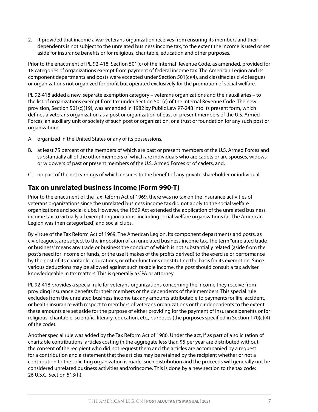2. It provided that income a war veterans organization receives from ensuring its members and their dependents is not subject to the unrelated business income tax, to the extent the income is used or set aside for insurance benefits or for religious, charitable, education and other purposes.

Prior to the enactment of PL 92-418, Section 501(c) of the Internal Revenue Code, as amended, provided for 18 categories of organizations exempt from payment of federal income tax. The American Legion and its component departments and posts were excepted under Section 501(c)(4), and classified as civic leagues or organizations not organized for profit but operated exclusively for the promotion of social welfare.

PL 92-418 added a new, separate exemption category – veterans organizations and their auxiliaries – to the list of organizations exempt from tax under Section 501(c) of the Internal Revenue Code. The new provision, Section 501(c)(19), was amended in 1982 by Public Law 97-248 into its present form, which defines a veterans organization as a post or organization of past or present members of the U.S. Armed Forces, an auxiliary unit or society of such post or organization, or a trust or foundation for any such post or organization:

- A. organized in the United States or any of its possessions,
- B. at least 75 percent of the members of which are past or present members of the U.S. Armed Forces and substantially all of the other members of which are individuals who are cadets or are spouses, widows, or widowers of past or present members of the U.S. Armed Forces or of cadets, and,
- C. no part of the net earnings of which ensures to the benefit of any private shareholder or individual.

#### **Tax on unrelated business income (Form 990-T)**

Prior to the enactment of the Tax Reform Act of 1969, there was no tax on the insurance activities of veterans organizations since the unrelated business income tax did not apply to the social welfare organizations and social clubs. However, the 1969 Act extended the application of the unrelated business income tax to virtually all exempt organizations, including social welfare organizations (as The American Legion was then categorized) and social clubs.

By virtue of the Tax Reform Act of 1969, The American Legion, its component departments and posts, as civic leagues, are subject to the imposition of an unrelated business income tax. The term "unrelated trade or business" means any trade or business the conduct of which is not substantially related (aside from the post's need for income or funds, or the use it makes of the profits derived) to the exercise or performance by the post of its charitable, educations, or other functions constituting the basis for its exemption. Since various deductions may be allowed against such taxable income, the post should consult a tax adviser knowledgeable in tax matters. This is generally a CPA or attorney.

PL 92-418 provides a special rule for veterans organizations concerning the income they receive from providing insurance benefits for their members or the dependents of their members. This special rule excludes from the unrelated business income tax any amounts attributable to payments for life, accident, or health insurance with respect to members of veterans organizations or their dependents to the extent these amounts are set aside for the purpose of either providing for the payment of insurance benefits or for religious, charitable, scientific, literary, education, etc., purposes (the purposes specified in Section 170(c)(4) of the code).

Another special rule was added by the Tax Reform Act of 1986. Under the act, if as part of a solicitation of charitable contributions, articles costing in the aggregate less than \$5 per year are distributed without the consent of the recipient who did not request them and the articles are accompanied by a request for a contribution and a statement that the articles may be retained by the recipient whether or not a contribution to the soliciting organization is made, such distribution and the proceeds will generally not be considered unrelated business activities and/orincome. This is done by a new section to the tax code: 26 U.S.C. Section 513(h).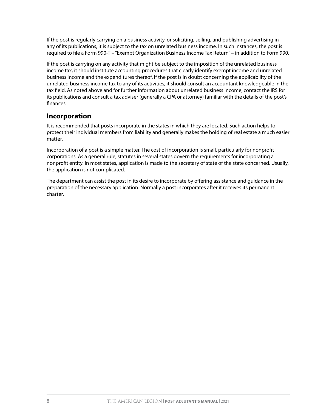If the post is regularly carrying on a business activity, or soliciting, selling, and publishing advertising in any of its publications, it is subject to the tax on unrelated business income. In such instances, the post is required to file a Form 990-T – "Exempt Organization Business Income Tax Return" – in addition to Form 990.

If the post is carrying on any activity that might be subject to the imposition of the unrelated business income tax, it should institute accounting procedures that clearly identify exempt income and unrelated business income and the expenditures thereof. If the post is in doubt concerning the applicability of the unrelated business income tax to any of its activities, it should consult an accountant knowledgeable in the tax field. As noted above and for further information about unrelated business income, contact the IRS for its publications and consult a tax adviser (generally a CPA or attorney) familiar with the details of the post's finances.

#### **Incorporation**

It is recommended that posts incorporate in the states in which they are located. Such action helps to protect their individual members from liability and generally makes the holding of real estate a much easier matter.

Incorporation of a post is a simple matter. The cost of incorporation is small, particularly for nonprofit corporations. As a general rule, statutes in several states govern the requirements for incorporating a nonprofit entity. In most states, application is made to the secretary of state of the state concerned. Usually, the application is not complicated.

The department can assist the post in its desire to incorporate by offering assistance and guidance in the preparation of the necessary application. Normally a post incorporates after it receives its permanent charter.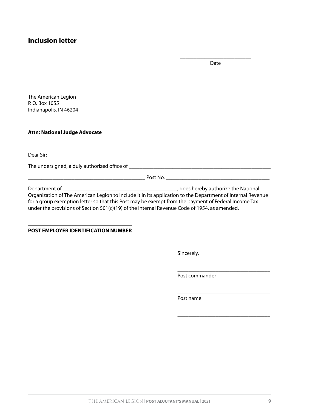#### **Inclusion letter**

\_\_\_\_\_\_\_\_\_\_\_\_\_\_\_\_\_\_\_\_\_\_\_\_\_\_ Date

The American Legion P. O. Box 1055 Indianapolis, IN 46204

#### **Attn: National Judge Advocate**

Dear Sir:

The undersigned, a duly authorized office of \_\_\_\_\_\_\_\_\_\_\_\_\_\_\_\_\_\_\_\_\_\_\_\_\_\_\_\_\_\_\_\_\_\_\_\_\_\_\_\_\_\_\_\_\_\_\_\_\_\_\_\_

\_\_\_\_\_\_\_\_\_\_\_\_\_\_\_\_\_\_\_\_\_\_\_\_\_\_\_\_\_\_\_\_\_\_\_\_\_\_\_\_\_\_\_ Post No. \_\_\_\_\_\_\_\_\_\_\_\_\_\_\_\_\_\_\_\_\_\_\_\_\_\_\_\_\_\_\_\_\_\_\_\_\_\_

Department of \_\_\_\_\_\_\_\_\_\_\_\_\_\_\_\_\_\_\_\_\_\_\_\_\_\_\_\_\_\_\_\_\_\_\_\_\_\_\_\_\_\_, does hereby authorize the National Organization of The American Legion to include it in its application to the Department of Internal Revenue for a group exemption letter so that this Post may be exempt from the payment of Federal Income Tax under the provisions of Section 501(c)(19) of the Internal Revenue Code of 1954, as amended.

#### **POST EMPLOYER IDENTIFICATION NUMBER**

Sincerely,

Post commander

\_\_\_\_\_\_\_\_\_\_\_\_\_\_\_\_\_\_\_\_\_\_\_\_\_\_\_\_\_\_\_\_\_\_

\_\_\_\_\_\_\_\_\_\_\_\_\_\_\_\_\_\_\_\_\_\_\_\_\_\_\_\_\_\_\_\_\_\_

\_\_\_\_\_\_\_\_\_\_\_\_\_\_\_\_\_\_\_\_\_\_\_\_\_\_\_\_\_\_\_\_\_\_

Post name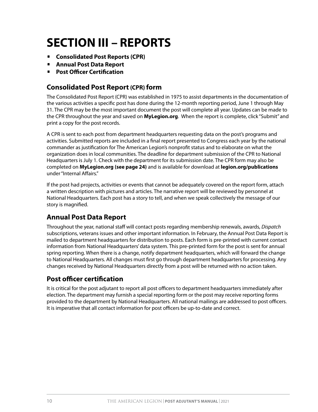### **SECTION III – REPORTS**

- **Consolidated Post Reports (CPR)**
- **Annual Post Data Report**
- **Post Officer Certification**

#### **Consolidated Post Report (CPR) form**

The Consolidated Post Report (CPR) was established in 1975 to assist departments in the documentation of the various activities a specific post has done during the 12-month reporting period, June 1 through May 31. The CPR may be the most important document the post will complete all year. Updates can be made to the CPR throughout the year and saved on **MyLegion.org**. When the report is complete, click "Submit" and print a copy for the post records.

A CPR is sent to each post from department headquarters requesting data on the post's programs and activities. Submitted reports are included in a final report presented to Congress each year by the national commander as justification for The American Legion's nonprofit status and to elaborate on what the organization does in local communities. The deadline for department submission of the CPR to National Headquarters is July 1. Check with the department for its submission date. The CPR form may also be completed on **MyLegion.org (see page 24)** and is available for download at **[legion.org/publications](http://www.legion.org/publications)** under "Internal Affairs."

If the post had projects, activities or events that cannot be adequately covered on the report form, attach a written description with pictures and articles. The narrative report will be reviewed by personnel at National Headquarters. Each post has a story to tell, and when we speak collectively the message of our story is magnified.

#### **Annual Post Data Report**

Throughout the year, national staff will contact posts regarding membership renewals, awards, *Dispatch* subscriptions, veterans issues and other important information. In February, the Annual Post Data Report is mailed to department headquarters for distribution to posts. Each form is pre-printed with current contact information from National Headquarters' data system. This pre-printed form for the post is sent for annual spring reporting. When there is a change, notify department headquarters, which will forward the change to National Headquarters. All changes must first go through department headquarters for processing. Any changes received by National Headquarters directly from a post will be returned with no action taken.

#### **Post officer certification**

It is critical for the post adjutant to report all post officers to department headquarters immediately after election. The department may furnish a special reporting form or the post may receive reporting forms provided to the department by National Headquarters. All national mailings are addressed to post officers. It is imperative that all contact information for post officers be up-to-date and correct.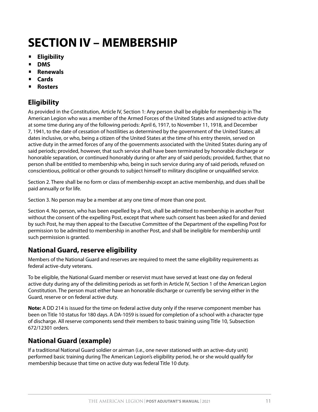### **SECTION IV – MEMBERSHIP**

- **Eligibility**
- **DMS**
- **Renewals**
- **Cards**
- **Rosters**

#### **Eligibility**

As provided in the Constitution, Article IV, Section 1: Any person shall be eligible for membership in The American Legion who was a member of the Armed Forces of the United States and assigned to active duty at some time during any of the following periods: April 6, 1917, to November 11, 1918, and December 7, 1941, to the date of cessation of hostilities as determined by the government of the United States; all dates inclusive, or who, being a citizen of the United States at the time of his entry therein, served on active duty in the armed forces of any of the governments associated with the United States during any of said periods; provided, however, that such service shall have been terminated by honorable discharge or honorable separation, or continued honorably during or after any of said periods; provided, further, that no person shall be entitled to membership who, being in such service during any of said periods, refused on conscientious, political or other grounds to subject himself to military discipline or unqualified service.

Section 2. There shall be no form or class of membership except an active membership, and dues shall be paid annually or for life.

Section 3. No person may be a member at any one time of more than one post.

Section 4. No person, who has been expelled by a Post, shall be admitted to membership in another Post without the consent of the expelling Post, except that where such consent has been asked for and denied by such Post, he may then appeal to the Executive Committee of the Department of the expelling Post for permission to be admitted to membership in another Post, and shall be ineligible for membership until such permission is granted.

#### **National Guard, reserve eligibility**

Members of the National Guard and reserves are required to meet the same eligibility requirements as federal active-duty veterans.

To be eligible, the National Guard member or reservist must have served at least one day on federal active duty during any of the delimiting periods as set forth in Article IV, Section 1 of the American Legion Constitution. The person must either have an honorable discharge or currently be serving either in the Guard, reserve or on federal active duty.

**Note:** A DD 214 is issued for the time on federal active duty only if the reserve component member has been on Title 10 status for 180 days. A DA-1059 is issued for completion of a school with a character type of discharge. All reserve components send their members to basic training using Title 10, Subsection 672/12301 orders.

#### **National Guard (example)**

If a traditional National Guard soldier or airman (i.e., one never stationed with an active-duty unit) performed basic training during The American Legion's eligibility period, he or she would qualify for membership because that time on active duty was federal Title 10 duty.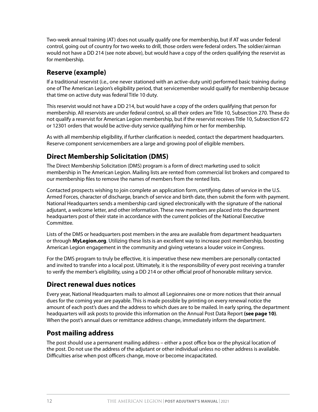Two-week annual training (AT) does not usually qualify one for membership, but if AT was under federal control, going out of country for two weeks to drill, those orders were federal orders. The soldier/airman would not have a DD 214 (see note above), but would have a copy of the orders qualifying the reservist as for membership.

#### **Reserve (example)**

If a traditional reservist (i.e., one never stationed with an active-duty unit) performed basic training during one of The American Legion's eligibility period, that servicemember would qualify for membership because that time on active duty was federal Title 10 duty.

This reservist would not have a DD 214, but would have a copy of the orders qualifying that person for membership. All reservists are under federal control, so all their orders are Title 10, Subsection 270. These do not qualify a reservist for American Legion membership, but if the reservist receives Title 10, Subsection 672 or 12301 orders that would be active-duty service qualifying him or her for membership.

As with all membership eligibility, if further clarification is needed, contact the department headquarters. Reserve component servicemembers are a large and growing pool of eligible members.

#### **Direct Membership Solicitation (DMS)**

The Direct Membership Solicitation (DMS) program is a form of direct marketing used to solicit membership in The American Legion. Mailing lists are rented from commercial list brokers and compared to our membership files to remove the names of members from the rented lists.

Contacted prospects wishing to join complete an application form, certifying dates of service in the U.S. Armed Forces, character of discharge, branch of service and birth date, then submit the form with payment. National Headquarters sends a membership card signed electronically with the signature of the national adjutant, a welcome letter, and other information. These new members are placed into the department headquarters post of their state in accordance with the current policies of the National Executive Committee.

Lists of the DMS or headquarters post members in the area are available from department headquarters or through **MyLegion.org**. Utilizing these lists is an excellent way to increase post membership, boosting American Legion engagement in the community and giving veterans a louder voice in Congress.

For the DMS program to truly be effective, it is imperative these new members are personally contacted and invited to transfer into a local post. Ultimately, it is the responsibility of every post receiving a transfer to verify the member's eligibility, using a DD 214 or other official proof of honorable military service.

#### **Direct renewal dues notices**

Every year, National Headquarters mails to almost all Legionnaires one or more notices that their annual dues for the coming year are payable. This is made possible by printing on every renewal notice the amount of each post's dues and the address to which dues are to be mailed. In early spring, the department headquarters will ask posts to provide this information on the Annual Post Data Report **(see page 10)**. When the post's annual dues or remittance address change, immediately inform the department.

#### **Post mailing address**

The post should use a permanent mailing address – either a post office box or the physical location of the post. Do not use the address of the adjutant or other individual unless no other address is available. Difficulties arise when post officers change, move or become incapacitated.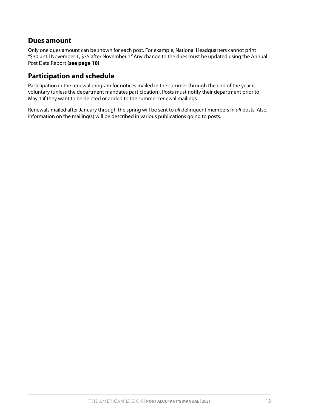#### **Dues amount**

Only one dues amount can be shown for each post. For example, National Headquarters cannot print "\$30 until November 1, \$35 after November 1." Any change to the dues must be updated using the Annual Post Data Report **(see page 10)**.

#### **Participation and schedule**

Participation in the renewal program for notices mailed in the summer through the end of the year is voluntary (unless the department mandates participation). Posts must notify their department prior to May 1 if they want to be deleted or added to the summer renewal mailings.

Renewals mailed after January through the spring will be sent to *all* delinquent members in *all* posts. Also, information on the mailing(s) will be described in various publications going to posts.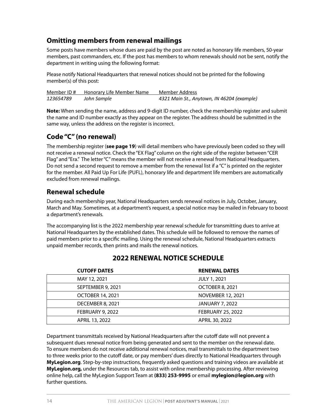#### **Omitting members from renewal mailings**

Some posts have members whose dues are paid by the post are noted as honorary life members, 50-year members, past commanders, etc. If the post has members to whom renewals should not be sent, notify the department in writing using the following format:

Please notify National Headquarters that renewal notices should not be printed for the following member(s) of this post:

| Member ID# | Honorary Life Member Name | Member Address                             |
|------------|---------------------------|--------------------------------------------|
| 123654789  | John Sample               | 4321 Main St., Anytown, IN 46204 (example) |

**Note:** When sending the name, address and 9-digit ID number, check the membership register and submit the name and ID number exactly as they appear on the register. The address should be submitted in the same way, unless the address on the register is incorrect.

#### **Code "C" (no renewal)**

The membership register (**see page 19**) will detail members who have previously been coded so they will not receive a renewal notice. Check the "EX Flag" column on the right side of the register between "CER Flag" and "Era." The letter "C" means the member will not receive a renewal from National Headquarters. Do not send a second request to remove a member from the renewal list if a " $C$ " is printed on the register for the member. All Paid Up For Life (PUFL), honorary life and department life members are automatically excluded from renewal mailings.

#### **Renewal schedule**

During each membership year, National Headquarters sends renewal notices in July, October, January, March and May. Sometimes, at a department's request, a special notice may be mailed in February to boost a department's renewals.

The accompanying list is the 2022 membership year renewal schedule for transmitting dues to arrive at National Headquarters by the established dates. This schedule will be followed to remove the names of paid members prior to a specific mailing. Using the renewal schedule, National Headquarters extracts unpaid member records, then prints and mails the renewal notices.

| <b>CUTOFF DATES</b>     | <b>RENEWAL DATES</b>     |
|-------------------------|--------------------------|
| MAY 12, 2021            | <b>JULY 1, 2021</b>      |
| SEPTEMBER 9, 2021       | OCTOBER 8, 2021          |
| <b>OCTOBER 14, 2021</b> | NOVEMBER 12, 2021        |
| DECEMBER 8, 2021        | <b>JANUARY 7, 2022</b>   |
| FEBRUARY 9, 2022        | <b>FEBRUARY 25, 2022</b> |
| APRIL 13, 2022          | APRIL 30, 2022           |

#### **2022 RENEWAL NOTICE SCHEDULE**

Department transmittals received by National Headquarters after the cutoff date will not prevent a subsequent dues renewal notice from being generated and sent to the member on the renewal date. To ensure members do not receive additional renewal notices, mail transmittals to the department two to three weeks prior to the cutoff date, or pay members' dues directly to National Headquarters through **MyLegion.org**. Step-by-step instructions, frequently asked questions and training videos are available at **MyLegion.org,** under the Resources tab, to assist with online membership processing. After reviewing online help, call the MyLegion Support Team at **(833) 253-9995** or email **mylegion@legion.org** with further questions.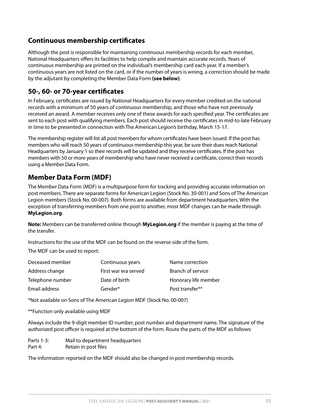#### **Continuous membership certificates**

Although the post is responsible for maintaining continuous membership records for each member, National Headquarters offers its facilities to help compile and maintain accurate records. Years of continuous membership are printed on the individual's membership card each year. If a member's continuous years are not listed on the card, or if the number of years is wrong, a correction should be made by the adjutant by completing the Member Data Form **(see below)**.

#### **50-, 60- or 70-year certificates**

In February, certificates are issued by National Headquarters for every member credited on the national records with a minimum of 50 years of continuous membership, and those who have not previously received an award. A member receives only one of these awards for each specified year. The certificates are sent to each post with qualifying members. Each post should receive the certificates in mid-to-late February in time to be presented in connection with The American Legion's birthday, March 15-17.

The membership register will list all post members for whom certificates have been issued. If the post has members who will reach 50 years of continuous membership this year, be sure their dues reach National Headquarters by January 1 so their records will be updated and they receive certificates. If the post has members with 50 or more years of membership who have never received a certificate, correct their records using a Member Data Form.

#### **Member Data Form (MDF)**

The Member Data Form (MDF) is a multipurpose form for tracking and providing accurate information on post members. There are separate forms for American Legion (Stock No. 30-001) and Sons of The American Legion members (Stock No. 00-007). Both forms are available from department headquarters. With the exception of transferring members from one post to another, most MDF changes can be made through **MyLegion.org**.

**Note:** Members can be transferred online through **MyLegion.org** if the member is paying at the time of the transfer.

Instructions for the use of the MDF can be found on the reverse side of the form.

The MDF can be used to report:

| Deceased member  | Continuous years     | Name correction      |
|------------------|----------------------|----------------------|
| Address change   | First war era served | Branch of service    |
| Telephone number | Date of birth        | Honorary life member |
| Email address    | Gender*              | Post transfer**      |

\*Not available on Sons of The American Legion MDF (Stock No. 00-007)

\*\*Function only available using MDF

Always include the 9-digit member ID number, post number and department name. The signature of the authorized post officer is required at the bottom of the form. Route the parts of the MDF as follows:

Parts 1-3: Mail to department headquarters Part 4: Retain in post files

The information reported on the MDF should also be changed in post membership records.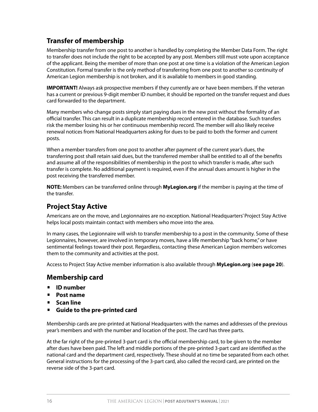#### **Transfer of membership**

Membership transfer from one post to another is handled by completing the Member Data Form. The right to transfer does not include the right to be accepted by any post. Members still must vote upon acceptance of the applicant. Being the member of more than one post at one time is a violation of the American Legion Constitution. Formal transfer is the only method of transferring from one post to another so continuity of American Legion membership is not broken, and it is available to members in good standing.

**IMPORTANT!** Always ask prospective members if they currently are or have been members. If the veteran has a current or previous 9-digit member ID number, it should be reported on the transfer request and dues card forwarded to the department.

Many members who change posts simply start paying dues in the new post without the formality of an official transfer. This can result in a duplicate membership record entered in the database. Such transfers risk the member losing his or her continuous membership record. The member will also likely receive renewal notices from National Headquarters asking for dues to be paid to both the former and current posts.

When a member transfers from one post to another after payment of the current year's dues, the transferring post shall retain said dues, but the transferred member shall be entitled to all of the benefits and assume all of the responsibilities of membership in the post to which transfer is made, after such transfer is complete. No additional payment is required, even if the annual dues amount is higher in the post receiving the transferred member.

**NOTE:** Members can be transferred online through **MyLegion.org** if the member is paying at the time of the transfer.

#### **Project Stay Active**

Americans are on the move, and Legionnaires are no exception. National Headquarters' Project Stay Active helps local posts maintain contact with members who move into the area.

In many cases, the Legionnaire will wish to transfer membership to a post in the community. Some of these Legionnaires, however, are involved in temporary moves, have a life membership "back home," or have sentimental feelings toward their post. Regardless, contacting these American Legion members welcomes them to the community and activities at the post.

Access to Project Stay Active member information is also available through **MyLegion.org** (**see page 20**).

#### **Membership card**

- **ID number**
- **Post name**
- **Scan line**
- **Guide to the pre-printed card**

Membership cards are pre-printed at National Headquarters with the names and addresses of the previous year's members and with the number and location of the post. The card has three parts.

At the far right of the pre-printed 3-part card is the official membership card, to be given to the member after dues have been paid. The left and middle portions of the pre-printed 3-part card are identified as the national card and the department card, respectively. These should at no time be separated from each other. General instructions for the processing of the 3-part card, also called the record card, are printed on the reverse side of the 3-part card.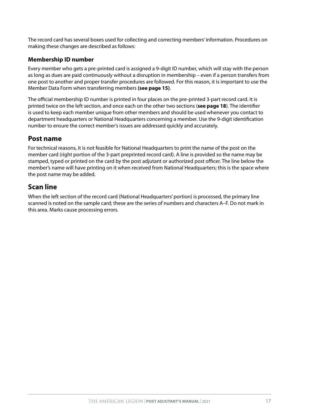The record card has several boxes used for collecting and correcting members' information. Procedures on making these changes are described as follows:

#### **Membership ID number**

Every member who gets a pre-printed card is assigned a 9-digit ID number, which will stay with the person as long as dues are paid continuously without a disruption in membership – even if a person transfers from one post to another and proper transfer procedures are followed. For this reason, it is important to use the Member Data Form when transferring members **(see page 15)**.

The official membership ID number is printed in four places on the pre-printed 3-part record card. It is printed twice on the left section, and once each on the other two sections (**see page 18**). The identifier is used to keep each member unique from other members and should be used whenever you contact to department headquarters or National Headquarters concerning a member. Use the 9-digit identification number to ensure the correct member's issues are addressed quickly and accurately.

#### **Post name**

For technical reasons, it is not feasible for National Headquarters to print the name of the post on the member card (right portion of the 3-part preprinted record card). A line is provided so the name may be stamped, typed or printed on the card by the post adjutant or authorized post officer. The line below the member's name will have printing on it when received from National Headquarters; this is the space where the post name may be added.

#### **Scan line**

When the left section of the record card (National Headquarters' portion) is processed, the primary line scanned is noted on the sample card; these are the series of numbers and characters A–F. Do not mark in this area. Marks cause processing errors.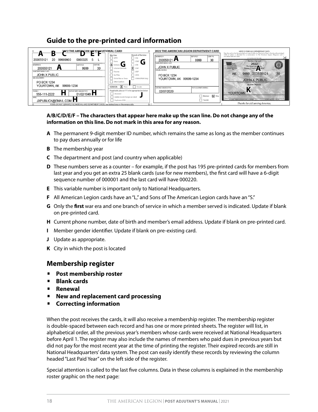#### **Guide to the pre-printed card information**



#### **A/B/C/D/E/F – The characters that appear here make up the scan line. Do not change any of the information on this line. Do not mark in this area for any reason.**

- **A** The permanent 9-digit member ID number, which remains the same as long as the member continues to pay dues annually or for life
- **B** The membership year
- **C** The department and post (and country when applicable)
- **D** These numbers serve as a counter for example, if the post has 195 pre-printed cards for members from last year and you get an extra 25 blank cards (use for new members), the first card will have a 6-digit sequence number of 000001 and the last card will have 000220.
- **E** This variable number is important only to National Headquarters.
- **F** All American Legion cards have an "L," and Sons of The American Legion cards have an "S."
- **G** Only the **first** war era and one branch of service in which a member served is indicated. Update if blank on pre-printed card.
- **H** Current phone number, date of birth and member's email address. Update if blank on pre-printed card.
- **I** Member gender identifier. Update if blank on pre-existing card.
- **J** Update as appropriate.
- **K** City in which the post is located

#### **Membership register**

- **Post membership roster**
- **Blank cards**
- **Renewal**
- **New and replacement card processing**
- **Correcting information**

When the post receives the cards, it will also receive a membership register. The membership register is double-spaced between each record and has one or more printed sheets. The register will list, in alphabetical order, all the previous year's members whose cards were received at National Headquarters before April 1. The register may also include the names of members who paid dues in previous years but did not pay for the most recent year at the time of printing the register. Their expired records are still in National Headquarters' data system. The post can easily identify these records by reviewing the column headed "Last Paid Year" on the left side of the register.

Special attention is called to the last five columns. Data in these columns is explained in the membership roster graphic on the next page: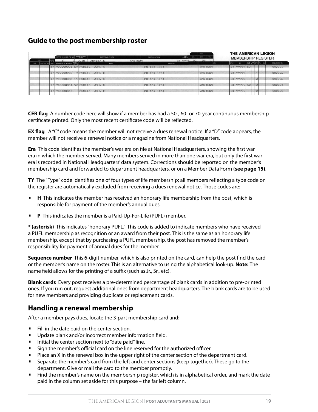#### **Guide to the post membership roster**

|       |      |     |                                          |                           |                         |         |               |                   | DATE                   |              |             | THE AMERICAN LEGION        |              |
|-------|------|-----|------------------------------------------|---------------------------|-------------------------|---------|---------------|-------------------|------------------------|--------------|-------------|----------------------------|--------------|
|       | DATE | LAS | POST PG. NO. DEPT. PG. NO.               | <b>MEMBERSHIP</b><br>YEAR | DEPARTMENT NAME         |         | POST LOCATION | POST<br>NUMBER    | MO.<br>YR.<br>DAY      |              |             | <b>MEMBERSHIP REGISTER</b> |              |
| PAID. |      |     | TRANSMITTED YEAR MEMBERSHIP NUMBER CONT. | 2018                      | ANYSTATE<br>NAME        | ANYTOWN |               | ST9999<br>ADDRESS | 09<br>77<br>02<br>CITY | <b>STATE</b> | <b>ZIP</b>  | FLAG FLAG ERA TY UN        | SEQUENCE NO. |
|       |      |     | 17 900000001 59 PUBLIC, JOHN A           |                           |                         |         | PO BOX 1234   |                   | ANYTOWN                |              | ST 99999 50 |                            | 000001       |
|       |      |     | 17 900000002                             |                           | <b>9 PUBLIC, JOHN B</b> |         | PO BOX 1234   |                   | ANYTOWN                |              | ST 99999    | 4                          | 000002       |
|       |      |     | 17 900000003 14 PUBLIC, JOHN C           |                           |                         |         | PO BOX 1234   |                   | ANYTOWN                |              | ST 99999    | $\overline{c}$             | 000003       |
|       |      |     | 17 900000004 57 PUBLIC, JOHN D           |                           |                         |         | PO BOX 1234   |                   | ANYTOWN                |              | ST 99999 50 | 2                          | 000004       |
|       |      |     | 17 900000005                             |                           | PUBLIC, JOHN E          |         | PO BOX 1234   |                   | ANYTOWN                |              | ST 99999    | $\overline{2}$             | 000005       |

**CER flag** A number code here will show if a member has had a 50-, 60- or 70-year continuous membership certificate printed. Only the most recent certificate code will be reflected.

**EX flag** A "C" code means the member will not receive a dues renewal notice. If a "D" code appears, the member will not receive a renewal notice or a magazine from National Headquarters.

**Era** This code identifies the member's war era on file at National Headquarters, showing the first war era in which the member served. Many members served in more than one war era, but only the first war era is recorded in National Headquarters' data system. Corrections should be reported on the member's membership card and forwarded to department headquarters, or on a Member Data Form **(see page 15)**.

**TY** The "Type" code identifies one of four types of life membership; all members reflecting a type code on the register are automatically excluded from receiving a dues renewal notice. Those codes are:

- **H** This indicates the member has received an honorary life membership from the post, which is responsible for payment of the member's annual dues.
- **P** This indicates the member is a Paid-Up-For-Life (PUFL) member.

**\* (asterisk)** This indicates "honorary PUFL." This code is added to indicate members who have received a PUFL membership as recognition or an award from their post. This is the same as an honorary life membership, except that by purchasing a PUFL membership, the post has removed the member's responsibility for payment of annual dues for the member.

**Sequence number** This 6-digit number, which is also printed on the card, can help the post find the card or the member's name on the roster. This is an alternative to using the alphabetical look-up. **Note:** The name field allows for the printing of a suffix (such as Jr., Sr., etc).

**Blank cards** Every post receives a pre-determined percentage of blank cards in addition to pre-printed ones. If you run out, request additional ones from department headquarters. The blank cards are to be used for new members and providing duplicate or replacement cards.

#### **Handling a renewal membership**

After a member pays dues, locate the 3-part membership card and:

- **Fill in the date paid on the center section.**
- Update blank and/or incorrect member information field.
- Initial the center section next to "date paid" line.
- Sign the member's official card on the line reserved for the authorized officer.
- Place an X in the renewal box in the upper right of the center section of the department card.
- Separate the member's card from the left and center sections (keep together). These go to the department. Give or mail the card to the member promptly.
- Find the member's name on the membership register, which is in alphabetical order, and mark the date paid in the column set aside for this purpose – the far left column.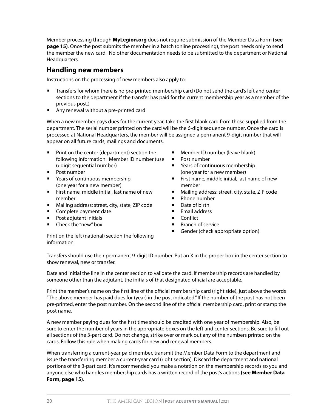Member processing through **MyLegion.org** does not require submission of the Member Data Form **(see page 15)**. Once the post submits the member in a batch (online processing), the post needs only to send the member the new card. No other documentation needs to be submitted to the department or National Headquarters.

#### **Handling new members**

Instructions on the processing of new members also apply to:

- Transfers for whom there is no pre-printed membership card (Do not send the card's left and center sections to the department if the transfer has paid for the current membership year as a member of the previous post.)
- Any renewal without a pre-printed card

When a new member pays dues for the current year, take the first blank card from those supplied from the department. The serial number printed on the card will be the 6-digit sequence number. Once the card is processed at National Headquarters, the member will be assigned a permanent 9-digit number that will appear on all future cards, mailings and documents.

- Print on the center (department) section the following information: Member ID number (use 6-digit sequential number)
- Post number
- Years of continuous membership (one year for a new member)
- First name, middle initial, last name of new member
- Mailing address: street, city, state, ZIP code
- **•** Complete payment date
- Post adjutant initials
- Check the "new" box
- Member ID number (leave blank)
- Post number
- Years of continuous membership (one year for a new member)
- First name, middle initial, last name of new member
- Mailing address: street, city, state, ZIP code
- Phone number
- Date of birth
- Email address
- Conflict
- Branch of service
- **•** Gender (check appropriate option)

Print on the left (national) section the following information:

Transfers should use their permanent 9-digit ID number. Put an X in the proper box in the center section to show renewal, new or transfer.

Date and initial the line in the center section to validate the card. If membership records are handled by someone other than the adjutant, the initials of that designated official are acceptable.

Print the member's name on the first line of the official membership card (right side), just above the words "The above member has paid dues for (year) in the post indicated." If the number of the post has not been pre-printed, enter the post number. On the second line of the official membership card, print or stamp the post name.

A new member paying dues for the first time should be credited with one year of membership. Also, be sure to enter the number of years in the appropriate boxes on the left and center sections. Be sure to fill out all sections of the 3-part card. Do not change, strike over or mark out any of the numbers printed on the cards. Follow this rule when making cards for new and renewal members.

When transferring a current-year paid member, transmit the Member Data Form to the department and issue the transferring member a current-year card (right section). Discard the department and national portions of the 3-part card. It's recommended you make a notation on the membership records so you and anyone else who handles membership cards has a written record of the post's actions **(see Member Data Form, page 15)**.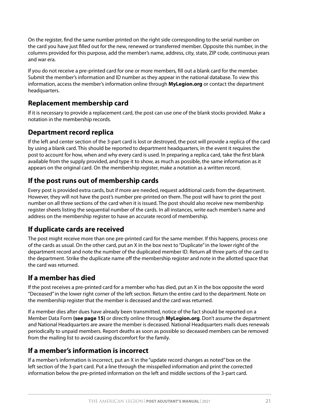On the register, find the same number printed on the right side corresponding to the serial number on the card you have just filled out for the new, renewed or transferred member. Opposite this number, in the columns provided for this purpose, add the member's name, address, city, state, ZIP code, continuous years and war era.

If you do not receive a pre-printed card for one or more members, fill out a blank card for the member. Submit the member's information and ID number as they appear in the national database. To view this information, access the member's information online through **MyLegion.org** or contact the department headquarters.

#### **Replacement membership card**

If it is necessary to provide a replacement card, the post can use one of the blank stocks provided. Make a notation in the membership records.

#### **Department record replica**

If the left and center section of the 3-part card is lost or destroyed, the post will provide a replica of the card by using a blank card. This should be reported to department headquarters, in the event it requires the post to account for how, when and why every card is used. In preparing a replica card, take the first blank available from the supply provided, and type it to show, as much as possible, the same information as it appears on the original card. On the membership register, make a notation as a written record.

#### **If the post runs out of membership cards**

Every post is provided extra cards, but if more are needed, request additional cards from the department. However, they will not have the post's number pre-printed on them. The post will have to print the post number on all three sections of the card when it is issued. The post should also receive new membership register sheets listing the sequential number of the cards. In all instances, write each member's name and address on the membership register to have an accurate record of membership.

#### **If duplicate cards are received**

The post might receive more than one pre-printed card for the same member. If this happens, process one of the cards as usual. On the other card, put an X in the box next to "Duplicate" in the lower right of the department record and note the number of the duplicated member ID. Return all three parts of the card to the department. Strike the duplicate name off the membership register and note in the allotted space that the card was returned.

#### **If a member has died**

If the post receives a pre-printed card for a member who has died, put an X in the box opposite the word "Deceased" in the lower right corner of the left section. Return the entire card to the department. Note on the membership register that the member is deceased and the card was returned.

If a member dies after dues have already been transmitted, notice of the fact should be reported on a Member Data Form **(see page 15)** or directly online through **MyLegion.org**. Don't assume the department and National Headquarters are aware the member is deceased. National Headquarters mails dues renewals periodically to unpaid members. Report deaths as soon as possible so deceased members can be removed from the mailing list to avoid causing discomfort for the family.

#### **If a member's information is incorrect**

If a member's information is incorrect, put an X in the "update record changes as noted" box on the left section of the 3-part card. Put a line through the misspelled information and print the corrected information below the pre-printed information on the left and middle sections of the 3-part card.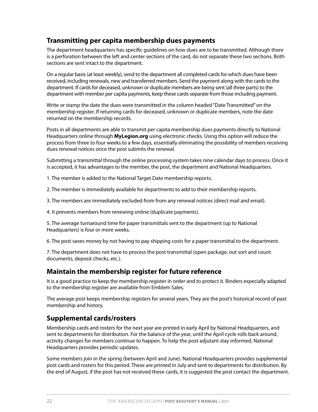#### **Transmitting per capita membership dues payments**

The department headquarters has specific guidelines on how dues are to be transmitted. Although there is a perforation between the left and center sections of the card, do not separate these two sections. Both sections are sent intact to the department.

On a regular basis (at least weekly), send to the department all completed cards for which dues have been received, including renewals, new and transferred members. Send the payment along with the cards to the department. If cards for deceased, unknown or duplicate members are being sent (all three parts) to the department with member per capita payments, keep these cards separate from those including payment.

Write or stamp the date the dues were transmitted in the column headed "Date Transmitted" on the membership register. If returning cards for deceased, unknown or duplicate members, note the date returned on the membership records.

Posts in all departments are able to transmit per capita membership dues payments directly to National Headquarters online through **MyLegion.org** using electronic checks. Using this option will reduce the process from three to four weeks to a few days, essentially eliminating the possibility of members receiving dues renewal notices once the post submits the renewal.

Submitting a transmittal through the online processing system takes nine calendar days to process. Once it is accepted, it has advantages to the member, the post, the department and National Headquarters.

1. The member is added to the National Target Date membership reports.

2. The member is immediately available for departments to add to their membership reports.

3. The members are immediately excluded from from any renewal notices (direct mail and email).

4. It prevents members from renewing online (duplicate payments).

5. The average turnaround time for paper transmittals sent to the department (up to National Headquarters) is four or more weeks.

6. The post saves money by not having to pay shipping costs for a paper transmittal to the department.

7. The department does not have to process the post transmittal (open package, out sort and count documents, deposit checks, etc.).

#### **Maintain the membership register for future reference**

It is a good practice to keep the membership register in order and to protect it. Binders especially adapted to the membership register are available from Emblem Sales.

The average post keeps membership registers for several years. They are the post's historical record of past membership and history.

#### **Supplemental cards/rosters**

Membership cards and rosters for the next year are printed in early April by National Headquarters, and sent to departments for distribution. For the balance of the year, until the April cycle rolls back around, activity changes for members continue to happen. To help the post adjutant stay informed, National Headquarters provides periodic updates.

Some members join in the spring (between April and June). National Headquarters provides supplemental post cards and rosters for this period. These are printed in July and sent to departments for distribution. By the end of August, if the post has not received these cards, it is suggested the post contact the department.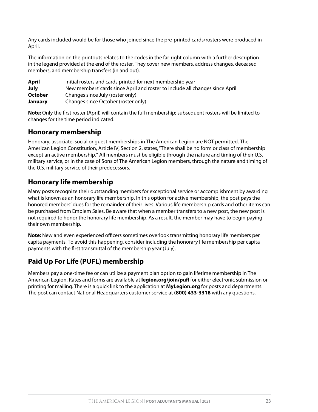Any cards included would be for those who joined since the pre-printed cards/rosters were produced in April.

The information on the printouts relates to the codes in the far-right column with a further description in the legend provided at the end of the roster. They cover new members, address changes, deceased members, and membership transfers (in and out)*.*

| April          | Initial rosters and cards printed for next membership year                   |
|----------------|------------------------------------------------------------------------------|
| July           | New members' cards since April and roster to include all changes since April |
| <b>October</b> | Changes since July (roster only)                                             |
| January        | Changes since October (roster only)                                          |

**Note:** Only the first roster (April) will contain the full membership; subsequent rosters will be limited to changes for the time period indicated.

#### **Honorary membership**

Honorary, associate, social or guest memberships in The American Legion are NOT permitted. The American Legion Constitution, Article IV, Section 2, states, "There shall be no form or class of membership except an active membership." All members must be eligible through the nature and timing of their U.S. military service, or in the case of Sons of The American Legion members, through the nature and timing of the U.S. military service of their predecessors.

#### **Honorary life membership**

Many posts recognize their outstanding members for exceptional service or accomplishment by awarding what is known as an honorary life membership. In this option for active membership, the post pays the honored members' dues for the remainder of their lives. Various life membership cards and other items can be purchased from Emblem Sales. Be aware that when a member transfers to a new post, the new post is not required to honor the honorary life membership. As a result, the member may have to begin paying their own membership.

**Note:** New and even experienced officers sometimes overlook transmitting honorary life members per capita payments. To avoid this happening, consider including the honorary life membership per capita payments with the first transmittal of the membership year (July).

#### **Paid Up For Life (PUFL) membership**

Members pay a one-time fee or can utilize a payment plan option to gain lifetime membership in The American Legion. Rates and forms are available at **legion.org/join/pufl** for either electronic submission or printing for mailing. There is a quick link to the application at **MyLegion.org** for posts and departments. The post can contact National Headquarters customer service at **(800) 433-3318** with any questions.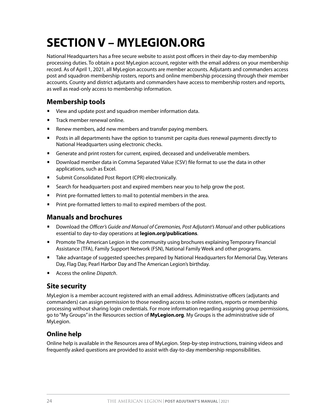### **SECTION V – MYLEGION.ORG**

National Headquarters has a free secure website to assist post officers in their day-to-day membership processing duties. To obtain a post MyLegion account, register with the email address on your membership record. As of April 1, 2021, all MyLegion accounts are member accounts. Adjutants and commanders access post and squadron membership rosters, reports and online membership processing through their member accounts. County and district adjutants and commanders have access to membership rosters and reports, as well as read-only access to membership information.

#### **Membership tools**

- View and update post and squadron member information data.
- **•** Track member renewal online.
- **•** Renew members, add new members and transfer paying members.
- Posts in all departments have the option to transmit per capita dues renewal payments directly to National Headquarters using electronic checks.
- Generate and print rosters for current, expired, deceased and undeliverable members.
- Download member data in Comma Separated Value (CSV) file format to use the data in other applications, such as Excel.
- Submit Consolidated Post Report (CPR) electronically.
- **•** Search for headquarters post and expired members near you to help grow the post.
- **•** Print pre-formatted letters to mail to potential members in the area.
- **•** Print pre-formatted letters to mail to expired members of the post.

#### **Manuals and brochures**

- **Download the** *Officer's Guide and Manual of Ceremonies, Post Adjutant's Manual* **and other publications** essential to day-to-day operations at **legion.org/publications**.
- **Promote The American Legion in the community using brochures explaining Temporary Financial** Assistance (TFA), Family Support Network (FSN), National Family Week and other programs.
- Take advantage of suggested speeches prepared by National Headquarters for Memorial Day, Veterans Day, Flag Day, Pearl Harbor Day and The American Legion's birthday.
- Access the online *Dispatch*.

#### **Site security**

MyLegion is a member account registered with an email address. Administrative officers (adjutants and commanders) can assign permission to those needing access to online rosters, reports or membership processing without sharing login credentials. For more information regarding assigning group permissions, go to "My Groups" in the Resources section of **MyLegion.org**. My Groups is the administrative side of MyLegion.

#### **Online help**

Online help is available in the Resources area of MyLegion. Step-by-step instructions, training videos and frequently asked questions are provided to assist with day-to-day membership responsibilities.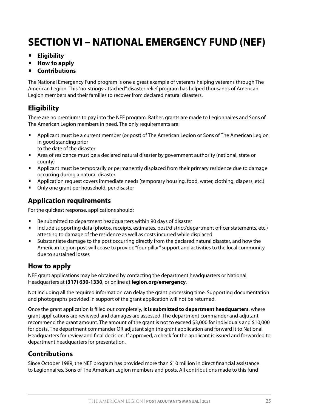### **SECTION VI – NATIONAL EMERGENCY FUND (NEF)**

- **Eligibility**
- **How to apply**
- **Contributions**

The National Emergency Fund program is one a great example of veterans helping veterans through The American Legion. This "no-strings-attached" disaster relief program has helped thousands of American Legion members and their families to recover from declared natural disasters.

#### **Eligibility**

There are no premiums to pay into the NEF program. Rather, grants are made to Legionnaires and Sons of The American Legion members in need. The only requirements are:

- Applicant must be a current member (or post) of The American Legion or Sons of The American Legion in good standing prior to the date of the disaster
- Area of residence must be a declared natural disaster by government authority (national, state or county)
- Applicant must be temporarily or permanently displaced from their primary residence due to damage occurring during a natural disaster
- Application request covers immediate needs (temporary housing, food, water, clothing, diapers, etc.)
- Only one grant per household, per disaster

#### **Application requirements**

For the quickest response, applications should:

- Be submitted to department headquarters within 90 days of disaster
- Include supporting data (photos, receipts, estimates, post/district/department officer statements, etc.) attesting to damage of the residence as well as costs incurred while displaced
- Substantiate damage to the post occurring directly from the declared natural disaster, and how the American Legion post will cease to provide "four pillar" support and activities to the local community due to sustained losses

#### **How to apply**

NEF grant applications may be obtained by contacting the department headquarters or National Headquarters at **(317) 630-1330**, or online at **[legion.org/emergency](http://www.legion.org/emergency)**.

Not including all the required information can delay the grant processing time. Supporting documentation and photographs provided in support of the grant application will not be returned.

Once the grant application is filled out completely, **it is submitted to department headquarters**, where grant applications are reviewed and damages are assessed. The department commander and adjutant recommend the grant amount. The amount of the grant is not to exceed \$3,000 for individuals and \$10,000 for posts. The department commander OR adjutant sign the grant application and forward it to National Headquarters for review and final decision. If approved, a check for the applicant is issued and forwarded to department headquarters for presentation.

#### **Contributions**

Since October 1989, the NEF program has provided more than \$10 million in direct financial assistance to Legionnaires, Sons of The American Legion members and posts. All contributions made to this fund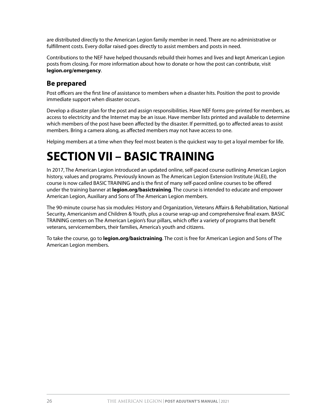are distributed directly to the American Legion family member in need. There are no administrative or fulfillment costs. Every dollar raised goes directly to assist members and posts in need.

Contributions to the NEF have helped thousands rebuild their homes and lives and kept American Legion posts from closing. For more information about how to donate or how the post can contribute, visit **legion.org/emergency**.

#### **Be prepared**

Post officers are the first line of assistance to members when a disaster hits. Position the post to provide immediate support when disaster occurs.

Develop a disaster plan for the post and assign responsibilities. Have NEF forms pre-printed for members, as access to electricity and the Internet may be an issue. Have member lists printed and available to determine which members of the post have been affected by the disaster. If permitted, go to affected areas to assist members. Bring a camera along, as affected members may not have access to one.

Helping members at a time when they feel most beaten is the quickest way to get a loyal member for life.

### **SECTION VII – BASIC TRAINING**

In 2017, The American Legion introduced an updated online, self-paced course outlining American Legion history, values and programs. Previously known as The American Legion Extension Institute (ALEI), the course is now called BASIC TRAINING and is the first of many self-paced online courses to be offered under the training banner at **legion.org/basictraining**. The course is intended to educate and empower American Legion, Auxiliary and Sons of The American Legion members.

The 90-minute course has six modules: History and Organization, Veterans Affairs & Rehabilitation, National Security, Americanism and Children & Youth, plus a course wrap-up and comprehensive final exam. BASIC TRAINING centers on The American Legion's four pillars, which offer a variety of programs that benefit veterans, servicemembers, their families, America's youth and citizens.

To take the course, go to **legion.org/basictraining**. The cost is free for American Legion and Sons of The American Legion members.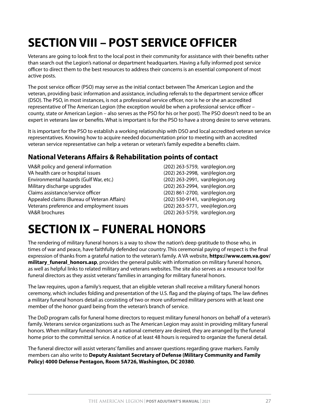### **SECTION VIII – POST SERVICE OFFICER**

Veterans are going to look first to the local post in their community for assistance with their benefits rather than search out the Legion's national or department headquarters. Having a fully informed post service officer to direct them to the best resources to address their concerns is an essential component of most active posts.

The post service officer (PSO) may serve as the initial contact between The American Legion and the veteran, providing basic information and assistance, including referrals to the department service officer (DSO). The PSO, in most instances, is not a professional service officer, nor is he or she an accredited representative of The American Legion (the exception would be when a professional service officer – county, state or American Legion – also serves as the PSO for his or her post). The PSO doesn't need to be an expert in veterans law or benefits. What is important is for the PSO to have a strong desire to serve veterans.

It is important for the PSO to establish a working relationship with DSO and local accredited veteran service representatives. Knowing how to acquire needed documentation prior to meeting with an accredited veteran service representative can help a veteran or veteran's family expedite a benefits claim.

#### **National Veterans Affairs & Rehabilitation points of contact**

VA&R policy and general information (202) 263-5759, var@legion.org VA health care or hospital issues (202) 263-2998, var@legion.org Environmental hazards (Gulf War, etc.) (202) 263-2991, var@legion.org Military discharge upgrades (202) 263-2994, var@legion.org Claims assistance/service officer (202) 861-2700, var@legion.org Appealed claims (Bureau of Veteran Affairs) (202) 530-9141, var@legion.org Veterans preference and employment issues (202) 263-5771, vee@legion.org VA&R brochures (202) 263-5759, var@legion.org

### **SECTION IX – FUNERAL HONORS**

The rendering of military funeral honors is a way to show the nation's deep gratitude to those who, in times of war and peace, have faithfully defended our country. This ceremonial paying of respect is the final expression of thanks from a grateful nation to the veteran's family. A VA website, **https://www.cem.va.gov/ military\_funeral\_honors.asp**, provides the general public with information on military funeral honors, as well as helpful links to related military and veterans websites. The site also serves as a resource tool for funeral directors as they assist veterans' families in arranging for military funeral honors.

The law requires, upon a family's request, that an eligible veteran shall receive a military funeral honors ceremony, which includes folding and presentation of the U.S. flag and the playing of taps. The law defines a military funeral honors detail as consisting of two or more uniformed military persons with at least one member of the honor guard being from the veteran's branch of service.

The DoD program calls for funeral home directors to request military funeral honors on behalf of a veteran's family. Veterans service organizations such as The American Legion may assist in providing military funeral honors. When military funeral honors at a national cemetery are desired, they are arranged by the funeral home prior to the committal service. A notice of at least 48 hours is required to organize the funeral detail.

The funeral director will assist veterans' families and answer questions regarding grave markers. Family members can also write to **Deputy Assistant Secretary of Defense (Military Community and Family Policy) 4000 Defense Pentagon, Room 5A726, Washington, DC 20380**.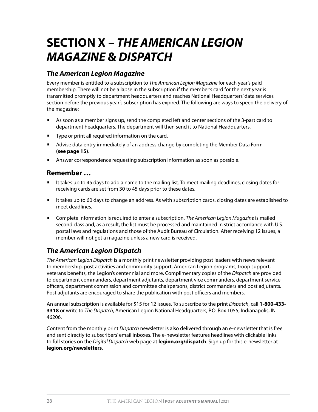### **SECTION X –** *THE AMERICAN LEGION MAGAZINE* **&** *DISPATCH*

#### *The American Legion Magazine*

Every member is entitled to a subscription to *The American Legion Magazine* for each year's paid membership. There will not be a lapse in the subscription if the member's card for the next year is transmitted promptly to department headquarters and reaches National Headquarters' data services section before the previous year's subscription has expired. The following are ways to speed the delivery of the magazine:

- As soon as a member signs up, send the completed left and center sections of the 3-part card to department headquarters. The department will then send it to National Headquarters.
- Type or print all required information on the card.
- Advise data entry immediately of an address change by completing the Member Data Form **(see page 15)**.
- **•** Answer correspondence requesting subscription information as soon as possible.

#### **Remember …**

- It takes up to 45 days to add a name to the mailing list. To meet mailing deadlines, closing dates for receiving cards are set from 30 to 45 days prior to these dates.
- It takes up to 60 days to change an address. As with subscription cards, closing dates are established to meet deadlines.
- Complete information is required to enter a subscription. *The American Legion Magazine* is mailed second class and, as a result, the list must be processed and maintained in strict accordance with U.S. postal laws and regulations and those of the Audit Bureau of Circulation. After receiving 12 issues, a member will not get a magazine unless a new card is received.

#### *The American Legion Dispatch*

*The American Legion Dispatch* is a monthly print newsletter providing post leaders with news relevant to membership, post activities and community support, American Legion programs, troop support, veterans benefits, the Legion's centennial and more. Complimentary copies of the *Dispatch* are provided to department commanders, department adjutants, department vice commanders, department service officers, department commission and committee chairpersons, district commanders and post adjutants. Post adjutants are encouraged to share the publication with post officers and members.

An annual subscription is available for \$15 for 12 issues. To subscribe to the print *Dispatch*, call **1-800-433- 3318** or write to *The Dispatch*, American Legion National Headquarters, P.O. Box 1055, Indianapolis, IN 46206.

Content from the monthly print *Dispatch* newsletter is also delivered through an e-newsletter that is free and sent directly to subscribers' email inboxes. The e-newsletter features headlines with clickable links to full stories on the *Digital Dispatch* web page at **legion.org/dispatch**. Sign up for this e-newsletter at **legion.org/newsletters**.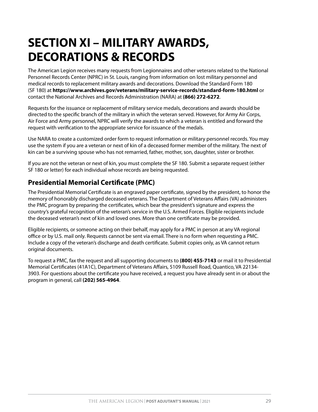### **SECTION XI – MILITARY AWARDS, DECORATIONS & RECORDS**

The American Legion receives many requests from Legionnaires and other veterans related to the National Personnel Records Center (NPRC) in St. Louis, ranging from information on lost military personnel and medical records to replacement military awards and decorations. Download the Standard Form 180 (SF 180) at **https://www.archives.gov/veterans/military-service-records/standard-form-180.html** or contact the National Archives and Records Administration (NARA) at **(866) 272-6272**.

Requests for the issuance or replacement of military service medals, decorations and awards should be directed to the specific branch of the military in which the veteran served. However, for Army Air Corps, Air Force and Army personnel, NPRC will verify the awards to which a veteran is entitled and forward the request with verification to the appropriate service for issuance of the medals.

Use NARA to create a customized order form to request information or military personnel records. You may use the system if you are a veteran or next of kin of a deceased former member of the military. The next of kin can be a surviving spouse who has not remarried, father, mother, son, daughter, sister or brother.

If you are not the veteran or next of kin, you must complete the SF 180. Submit a separate request (either SF 180 or letter) for each individual whose records are being requested.

#### **Presidential Memorial Certificate (PMC)**

The Presidential Memorial Certificate is an engraved paper certificate, signed by the president, to honor the memory of honorably discharged deceased veterans. The Department of Veterans Affairs (VA) administers the PMC program by preparing the certificates, which bear the president's signature and express the country's grateful recognition of the veteran's service in the U.S. Armed Forces. Eligible recipients include the deceased veteran's next of kin and loved ones. More than one certificate may be provided.

Eligible recipients, or someone acting on their behalf, may apply for a PMC in person at any VA regional office or by U.S. mail only. Requests cannot be sent via email. There is no form when requesting a PMC. Include a copy of the veteran's discharge and death certificate. Submit copies only, as VA cannot return original documents.

To request a PMC, fax the request and all supporting documents to **(800) 455-7143** or mail it to Presidential Memorial Certificates (41A1C), Department of Veterans Affairs, 5109 Russell Road, Quantico, VA 22134- 3903. For questions about the certificate you have received, a request you have already sent in or about the program in general, call **(202) 565-4964**.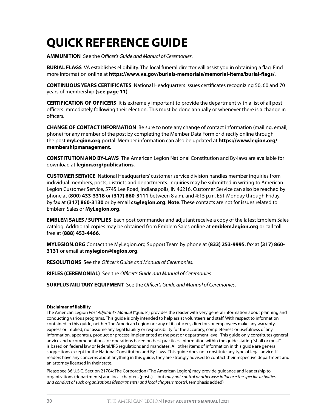### **QUICK REFERENCE GUIDE**

**AMMUNITION** See the *Officer's Guide and Manual of Ceremonies.* 

**BURIAL FLAGS** VA establishes eligibility. The local funeral director will assist you in obtaining a flag. Find more information online at **https://www.va.gov/burials-memorials/memorial-items/burial-flags/**.

**CONTINUOUS YEARS CERTIFICATES** National Headquarters issues certificates recognizing 50, 60 and 70 years of membership **(see page 11)**.

**CERTIFICATION OF OFFICERS** It is extremely important to provide the department with a list of all post officers immediately following their election. This must be done annually or whenever there is a change in officers.

**CHANGE OF CONTACT INFORMATION** Be sure to note any change of contact information (mailing, email, phone) for any member of the post by completing the Member Data Form or directly online through the post **myLegion.org** portal. Member information can also be updated at **https://www.legion.org/ membershipmanagement**.

**CONSTITUTION AND BY-LAWS** The American Legion National Constitution and By-laws are available for download at **legion.org/publications**.

**CUSTOMER SERVICE** National Headquarters' customer service division handles member inquiries from individual members, posts, districts and departments. Inquiries may be submitted in writing to American Legion Customer Service, 5745 Lee Road, Indianapolis, IN 46216. Customer Service can also be reached by phone at **(800) 433-3318** or **(317) 860-3111** between 8 a.m. and 4:15 p.m. EST Monday through Friday, by fax at **(317) 860-3130** or by email **cs@legion.org**. **Note***:* These contacts are not for issues related to Emblem Sales or **MyLegion.org**.

**EMBLEM SALES / SUPPLIES** Each post commander and adjutant receive a copy of the latest Emblem Sales catalog. Additional copies may be obtained from Emblem Sales online at **emblem.legion.org** or call toll free at **(888) 453-4466**.

**MYLEGION.ORG** Contact the MyLegion.org Support Team by phone at **(833) 253-9995**, fax at **(317) 860- 3131** or email at **mylegion@legion.org**.

**RESOLUTIONS** See the *Officer's Guide and Manual of Ceremonies*.

**RIFLES (CEREMONIAL)** See the *Officer's Guide and Manual of Ceremonies.* 

**SURPLUS MILITARY EQUIPMENT** See the *Officer's Guide and Manual of Ceremonies*.

#### **Disclaimer of liability**

The American Legion *Post Adjutant's Manual* ("guide") provides the reader with very general information about planning and conducting various programs. This guide is only intended to help assist volunteers and staff. With respect to information contained in this guide, neither The American Legion nor any of its officers, directors or employees make any warranty, express or implied, nor assume any legal liability or responsibility for the accuracy, completeness or usefulness of any information, apparatus, product or process implemented at the post or department level. This guide only constitutes general advice and recommendations for operations based on best practices. Information within the guide stating "shall or must" is based on federal law or federal/IRS regulations and mandates. All other items of information in this guide are general suggestions except for the National Constitution and By-Laws. This guide does not constitute any type of legal advice. If readers have any concerns about anything in this guide, they are strongly advised to contact their respective department and an attorney licensed in their state.

Please see 36 U.S.C. Section 21704: The Corporation (The American Legion) may provide guidance and leadership to organizations (departments) and local chapters (posts) ... but *may not control or otherwise influence the specific activities and conduct of such organizations (departments) and local chapters (posts)*. (emphasis added)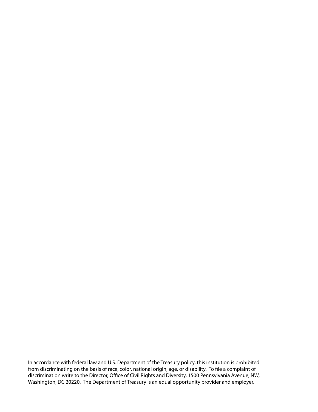In accordance with federal law and U.S. Department of the Treasury policy, this institution is prohibited from discriminating on the basis of race, color, national origin, age, or disability. To file a complaint of discrimination write to the Director, Office of Civil Rights and Diversity, 1500 Pennsylvania Avenue, NW, Washington, DC 20220. The Department of Treasury is an equal opportunity provider and employer.